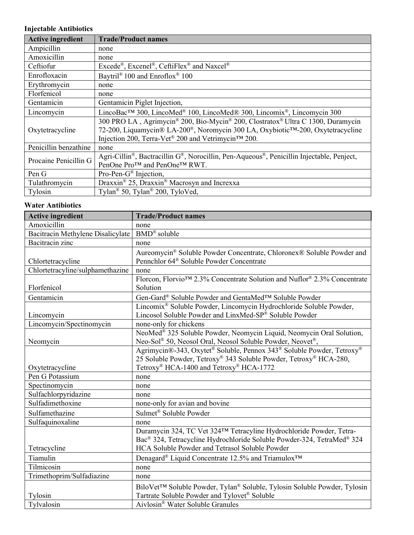## **Injectable Antibiotics**

| <b>Active ingredient</b> | <b>Trade/Product names</b>                                                                                                                                                                                              |  |
|--------------------------|-------------------------------------------------------------------------------------------------------------------------------------------------------------------------------------------------------------------------|--|
| Ampicillin               | none                                                                                                                                                                                                                    |  |
| Amoxicillin              | none                                                                                                                                                                                                                    |  |
| Ceftiofur                | Excede®, Excenel®, CeftiFlex® and Naxcel®                                                                                                                                                                               |  |
| Enrofloxacin             | Baytril® 100 and Enroflox® 100                                                                                                                                                                                          |  |
| Erythromycin             | none                                                                                                                                                                                                                    |  |
| Florfenicol              | none                                                                                                                                                                                                                    |  |
| Gentamicin               | Gentamicin Piglet Injection,                                                                                                                                                                                            |  |
| Lincomycin               | LincoBac™ 300, LincoMed® 100, LincoMed® 300, Lincomix®, Lincomycin 300                                                                                                                                                  |  |
| Oxytetracycline          | 300 PRO LA, Agrimycin® 200, Bio-Mycin® 200, Clostratox® Ultra C 1300, Duramycin<br>72-200, Liquamycin® LA-200®, Noromycin 300 LA, Oxybiotic™-200, Oxytetracycline<br>Injection 200, Terra-Vet® 200 and Vetrimycin™ 200. |  |
| Penicillin benzathine    | none                                                                                                                                                                                                                    |  |
| Procaine Penicillin G    | Agri-Cillin <sup>®</sup> , Bactracillin $G^{\mathcal{B}}$ , Norocillin, Pen-Aqueous <sup>®</sup> , Penicillin Injectable, Penject,<br>PenOne Pro™ and PenOne™ RWT.                                                      |  |
| Pen G                    | Pro-Pen- $G^{\circledast}$ Injection,                                                                                                                                                                                   |  |
| Tulathromycin            | Draxxin <sup>®</sup> 25, Draxxin <sup>®</sup> Macrosyn and Increxxa                                                                                                                                                     |  |
| Tylosin                  | Tylan <sup>®</sup> 50, Tylan® 200, TyloVed,                                                                                                                                                                             |  |

## **Water Antibiotics**

| <b>Active ingredient</b>          | <b>Trade/Product names</b>                                                     |
|-----------------------------------|--------------------------------------------------------------------------------|
| Amoxicillin                       | none                                                                           |
| Bacitracin Methylene Disalicylate | BMD® soluble                                                                   |
| Bacitracin zinc                   | none                                                                           |
|                                   | Aureomycin® Soluble Powder Concentrate, Chloronex® Soluble Powder and          |
| Chlortetracycline                 | Pennchlor 64 <sup>®</sup> Soluble Powder Concentrate                           |
| Chlortetracyline/sulphamethazine  | none                                                                           |
|                                   | Florcon, Florvio™ 2.3% Concentrate Solution and Nuflor® 2.3% Concentrate       |
| Florfenicol                       | Solution                                                                       |
| Gentamicin                        | Gen-Gard® Soluble Powder and GentaMed <sup>™</sup> Soluble Powder              |
|                                   | Lincomix <sup>®</sup> Soluble Powder, Lincomycin Hydrochloride Soluble Powder, |
| Lincomycin                        | Lincosol Soluble Powder and LinxMed-SP® Soluble Powder                         |
| Lincomycin/Spectinomycin          | none-only for chickens                                                         |
|                                   | NeoMed® 325 Soluble Powder, Neomycin Liquid, Neomycin Oral Solution,           |
| Neomycin                          | Neo-Sol® 50, Neosol Oral, Neosol Soluble Powder, Neovet®,                      |
|                                   | Agrimycin®-343, Oxytet® Soluble, Pennox 343® Soluble Powder, Tetroxy®          |
|                                   | 25 Soluble Powder, Tetroxy® 343 Soluble Powder, Tetroxy® HCA-280,              |
| Oxytetracycline                   | Tetroxy® HCA-1400 and Tetroxy® HCA-1772                                        |
| Pen G Potassium                   | none                                                                           |
| Spectinomycin                     | none                                                                           |
| Sulfachlorpyridazine              | none                                                                           |
| Sulfadimethoxine                  | none-only for avian and bovine                                                 |
| Sulfamethazine                    | Sulmet® Soluble Powder                                                         |
| Sulfaquinoxaline                  | none                                                                           |
|                                   | Duramycin 324, TC Vet 324TM Tetracyline Hydrochloride Powder, Tetra-           |
|                                   | Bac® 324, Tetracycline Hydrochloride Soluble Powder-324, TetraMed® 324         |
| Tetracycline                      | HCA Soluble Powder and Tetrasol Soluble Powder                                 |
| Tiamulin                          | Denagard® Liquid Concentrate 12.5% and Triamulox <sup>™</sup>                  |
| Tilmicosin                        | none                                                                           |
| Trimethoprim/Sulfadiazine         | none                                                                           |
|                                   | BiloVet™ Soluble Powder, Tylan® Soluble, Tylosin Soluble Powder, Tylosin       |
| Tylosin                           | Tartrate Soluble Powder and Tylovet® Soluble                                   |
| Tylvalosin                        | Aivlosin® Water Soluble Granules                                               |